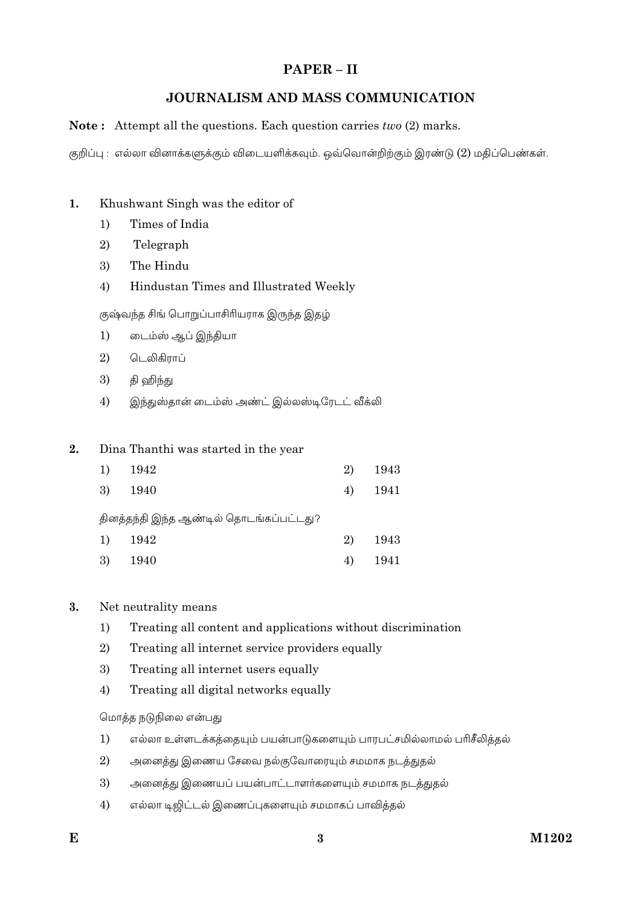# PAPER-II

# JOURNALISM AND MASS COMMUNICATION

# **Note:** Attempt all the questions. Each question carries  $two(2)$  marks.

குறிப்பு : எல்லா வினாக்களுக்கும் விடையளிக்கவும். ஒவ்வொன்றிற்கும் இரண்டு (2) மதிப்பெண்கள்.

#### $\mathbf{1}$ . Khushwant Singh was the editor of

- Times of India  $1)$
- $\overline{2}$ Telegraph
- 3) The Hindu
- 4) Hindustan Times and Illustrated Weekly

குஷ்வந்த சிங் பொறுப்பாசிரியராக இருந்த இதழ்

- $1)$ டைம்ஸ் ஆப் இந்தியா
- 2) டெலிகிராப்
- 3) தி ஹிந்து
- $4)$ இந்துஸ்தான் டைம்ஸ் அண்ட் இல்லஸ்டிரேடட் வீக்லி

#### $2.$ Dina Thanthi was started in the year

| 1) | - 1942                                  | 2) | 1943  |
|----|-----------------------------------------|----|-------|
| 3) | 1940                                    | 4) | -1941 |
|    | தினத்தந்தி இந்த ஆண்டில் தொடங்கப்பட்டது? |    |       |
| 1) | 1942                                    | 2) | 1943  |
| 3) | -1940                                   | 4) | 1941  |

#### $3.$ Net neutrality means

- Treating all content and applications without discrimination  $1)$
- 2) Treating all internet service providers equally
- 3) Treating all internet users equally
- $4)$ Treating all digital networks equally

மொத்த நடுநிலை என்பது

- $1)$ எல்லா உள்ளடக்கத்தையும் பயன்பாடுகளையும் பாரபட்சமில்லாமல் பரிசீலித்தல்
- $\overline{2}$ அனைத்து இணைய சேவை நல்குவோரையும் சமமாக நடத்துதல்
- 3) அனைத்து இணையப் பயன்பாட்டாளர்களையும் சமமாக நடத்துதல்
- எல்லா டிஜிட்டல் இணைப்புகளையும் சமமாகப் பாவித்தல்  $4)$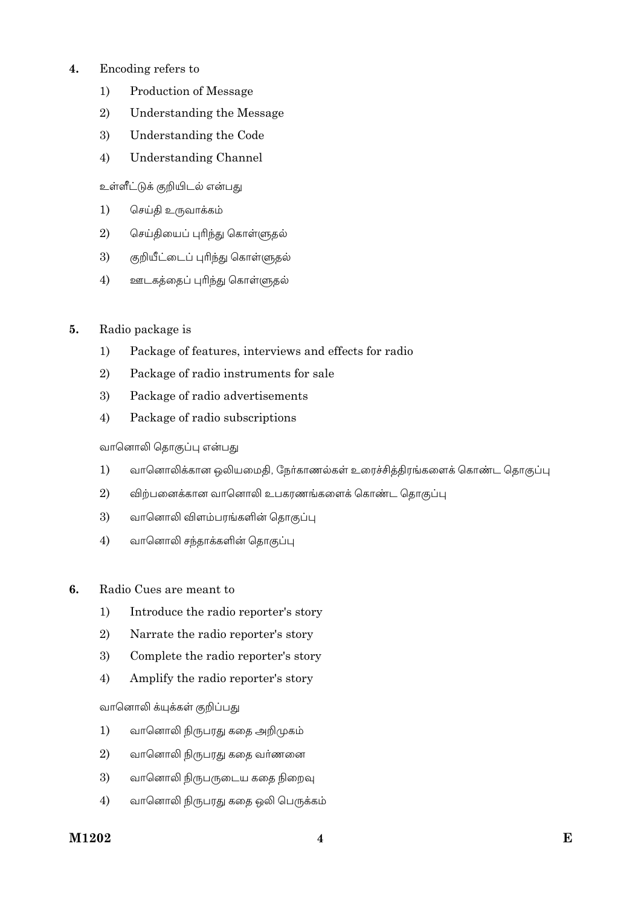# **4.** Encoding refers to

- 1) Production of Message
- 2) Understanding the Message
- 3) Understanding the Code
- 4) Understanding Channel

உள்ளீட்டுக் குறியிடல் என்பது

- 1) செய்தி உருவாக்கம்
- 2) செய்தியைப் புரிந்து கொள்ளுதல்
- 3) குறியீட்டைப் புரிந்து கொள்ளுதல்
- 4) ஊடகத்தைப் புரிந்து கொள்ளுதல்
- **5.** Radio package is
	- 1) Package of features, interviews and effects for radio
	- 2) Package of radio instruments for sale
	- 3) Package of radio advertisements
	- 4) Package of radio subscriptions

# வானொலி தொகுப்பு என்பது

- 1) வானொலிக்கான ஒலியமைதி, நேர்காணல்கள் உரைச்சித்திரங்களைக் கொண்ட தொகுப்பு
- $2$ ) விற்பனைக்கான வானொலி உபகரணங்களைக் கொண்ட தொகுப்பு
- 3) வானொலி விளம்பரங்களின் தொகுப்பு
- 4) வானொலி சந்தாக்களின் தொகுப்பு
- **6.** Radio Cues are meant to
	- 1) Introduce the radio reporter's story
	- 2) Narrate the radio reporter's story
	- 3) Complete the radio reporter's story
	- 4) Amplify the radio reporter's story

வானொலி க்யுக்கள் குறிப்பது

- 1) வானொலி நிருபரது கதை அறிமுகம்
- $2)$  வானொலி நிருபரது கதை வர்ணனை
- 3) வானொலி நிருபருடைய கதை நிறைவு
- 4) வானொலி நிருபரது கதை ஒலி பெருக்கம்

# **M1202 E 4**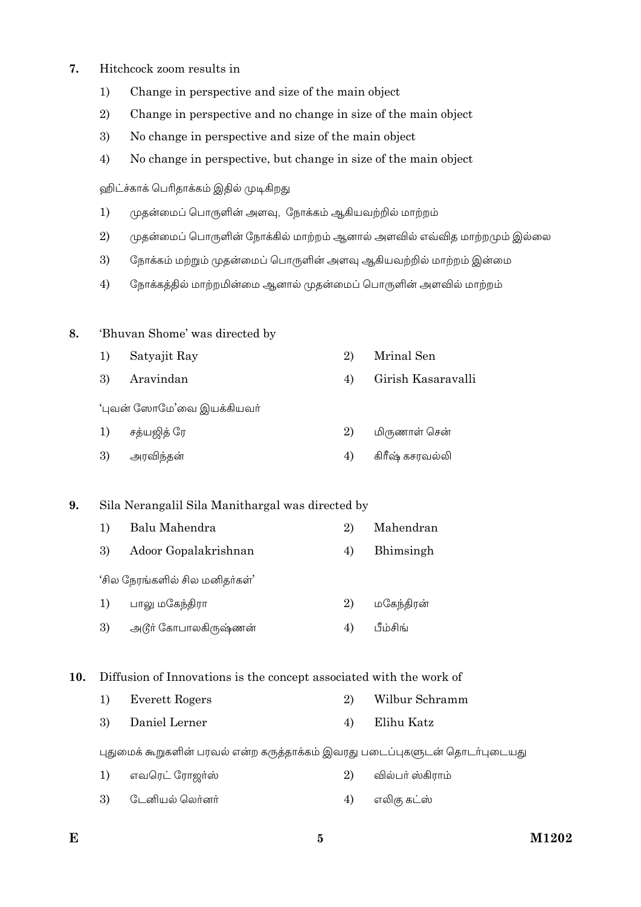# **7.** Hitchcock zoom results in

- 1) Change in perspective and size of the main object
- 2) Change in perspective and no change in size of the main object
- 3) No change in perspective and size of the main object
- 4) No change in perspective, but change in size of the main object

ஹிட்ச்காக் பெரிதாக்கம் இதில் முடிகிறது

- 1) முதன்மைப் பொருளின் அளவு, நோக்கம் ஆகியவற்றில் மாற்றம்
- $2$ ) முதன்மைப் பொருளின் நோக்கில் மாற்றம் ஆனால் அளவில் எவ்வித மாற்றமும் இல்லை
- 3) கொக்கம் மற்றும் முதன்மைப் பொருளின் அளவு ஆகியவற்றில் மாற்றம் இன்மை
- 4) சூரக்கத்தில் மாற்றமின்மை ஆனால் முதன்மைப் பொருளின் அளவில் மாற்றம்

# **8.** 'Bhuvan Shome' was directed by

1) Satyajit Ray 2) Mrinal Sen 3) Aravindan 4) Girish Kasaravalli

'புவன் ஸோமே'வை இயக்கியவர்

| 1) சத்யஜித் ரே | 2) மிருணாள் சென்   |
|----------------|--------------------|
| 3) அரவிந்தன்   | 4) கிரீஷ் கசரவல்லி |

# **9.** Sila Nerangalil Sila Manithargal was directed by

1) Balu Mahendra 2) Mahendran 3) Adoor Gopalakrishnan 4) Bhimsingh 'சில நேரங்களில் சில மனிதர்கள்' 1) பாலு மகேந்திரா  $2)$  மகேந்திரன் 3) அடூர் கோபாலகிருஷ்ணன்  $(4)$  பீம்சிங்

# **10.** Diffusion of Innovations is the concept associated with the work of

1) Everett Rogers 2) Wilbur Schramm 3) Daniel Lerner 4) Elihu Katz

புதுமைக் கூறுகளின் பரவல் என்ற கருத்தாக்கம் இவரது படைப்புகளுடன் தொடர்புடையது

- 1) GÁöμm ÷μõáºì 2) ÂÀ£º ìQμõ®
- 3)  $\,$  டேனியல் லொ்னா் $\,$   $\,$   $\,$  4)  $\,$  எலிகு கட்ஸ்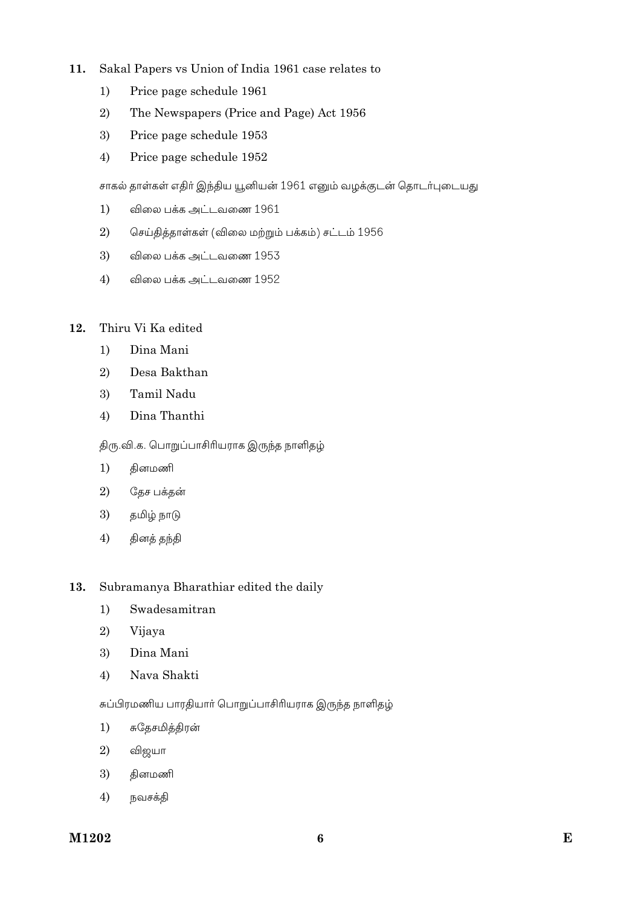#### Sakal Papers vs Union of India 1961 case relates to  $11.$

- $1)$ Price page schedule 1961
- $\overline{2}$ The Newspapers (Price and Page) Act 1956
- 3) Price page schedule 1953
- 4) Price page schedule 1952

சாகல் தாள்கள் எதிர் இந்திய யூனியன் 1961 எனும் வழக்குடன் தொடர்புடையது

- $1)$ விலை பக்க அட்டவணை 1961
- 2) செய்தித்தாள்கள் (விலை மற்றும் பக்கம்) சட்டம் 1956
- 3) விலை பக்க அட்டவணை 1953
- விலை பக்க அட்டவணை 1952  $4)$

#### 12. Thiru Vi Ka edited

- $1)$ Dina Mani
- 2) Desa Bakthan
- 3) Tamil Nadu
- $4)$ Dina Thanthi

# திரு.வி.க. பொறுப்பாசிரியராக இருந்த நாளிதழ்

- $1)$ தினமணி
- $\overline{2}$ தேச பக்கன்
- 3) தமிழ் நாடு
- $4)$ தினத் தந்தி

#### 13. Subramanya Bharathiar edited the daily

- Swadesamitran  $1)$
- 2) Vijaya
- 3) Dina Mani
- Nava Shakti  $4)$

சுப்பிரமணிய பாரதியார் பொறுப்பாசிரியராக இருந்த நாளிதம்

- சுதேசமித்திரன்  $1)$
- 2) விஜயா
- 3) தினமணி
- $4)$ நவசக்தி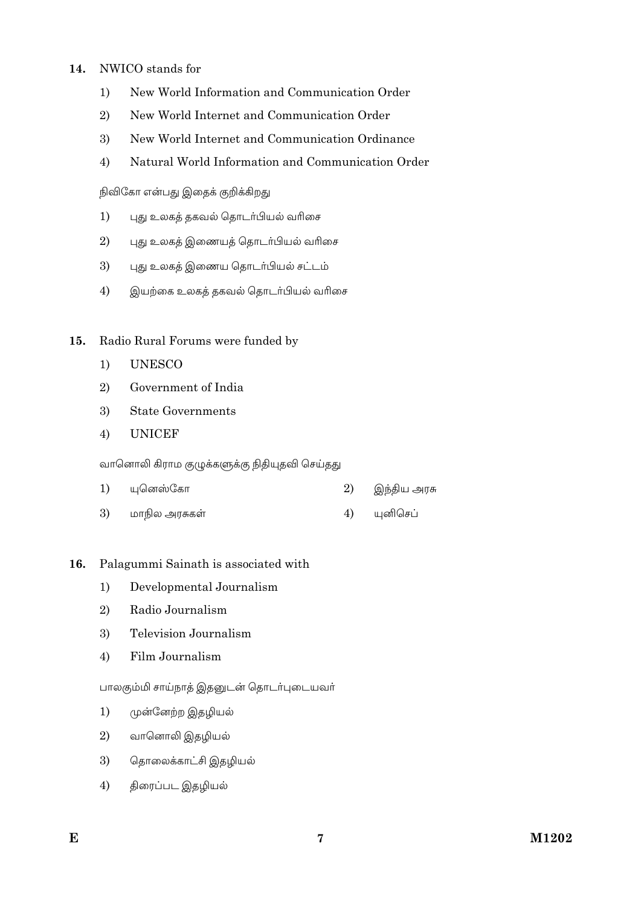#### NWICO stands for  $14.$

- New World Information and Communication Order  $1)$
- $2)$ New World Internet and Communication Order
- $\mathfrak{Z}$ New World Internet and Communication Ordinance
- $4)$ Natural World Information and Communication Order

நிவிகோ என்பது இதைக் குறிக்கிறது

- புது உலகத் தகவல் தொடர்பியல் வரிசை  $1)$
- புது உலகத் இணையத் தொடர்பியல் வரிசை 2)
- 3) புது உலகத் இணைய தொடர்பியல் சட்டம்
- $4)$ இயற்கை உலகத் தகவல் தொடர்பியல் வரிசை

#### Radio Rural Forums were funded by  $15.$

- $1)$ **UNESCO**
- 2) Government of India
- 3) **State Governments**
- **UNICEF**  $4)$

வானொலி கிராம குழுக்களுக்கு நிதியுதவி செய்தது

|  | 1) யுனெஸ்கோ |  | 2) இந்திய அரச <mark>ு</mark> |
|--|-------------|--|------------------------------|
|--|-------------|--|------------------------------|

3) மாநில அரசுகள் யுனிசெப் 4)

### 16. Palagummi Sainath is associated with

- $1)$ Developmental Journalism
- $\mathbf{2}$ Radio Journalism
- Television Journalism  $3)$
- Film Journalism  $4)$

பாலகும்மி சாய்நாத் இதனுடன் தொடர்புடையவர்

- $1)$ முன்னேற்ற இதழியல்
- 2) வானொலி இதழியல்
- தொலைக்காட்சி இதழியல் 3)
- திரைப்பட இதழியல்  $4)$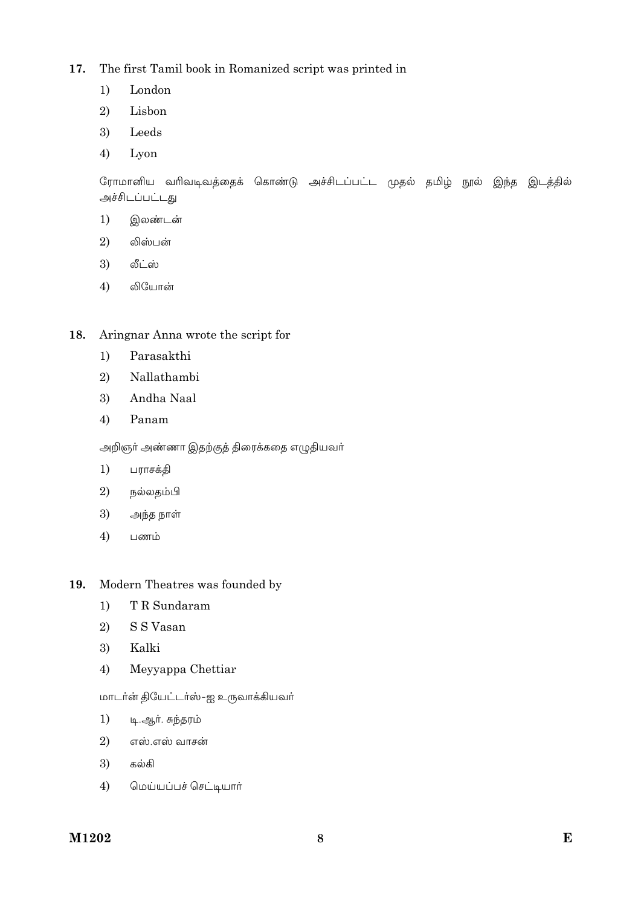#### The first Tamil book in Romanized script was printed in 17.

- $1)$ London
- 2) Lisbon
- 3) Leeds
- $4)$ Lyon

ரோமானிய வரிவடிவத்தைக் கொண்டு அச்சிடப்பட்ட முதல் தமிழ் நூல் இந்த இடத்தில் அச்சிடப்பட்டது

- $1)$ இலண்டன்
- லிஸ்பன் 2)
- 3) லீட்ஸ்
- 4) லியோன்
- Aringnar Anna wrote the script for 18.
	- Parasakthi  $1)$
	- Nallathambi 2)
	- Andha Naal 3)
	- Panam  $4)$

அறிஞர் அண்ணா இதற்குத் திரைக்கதை எழுதியவர்

- $1)$ பராசக்தி
- 2) நல்லதம்பி
- $\overline{3}$ அந்த நாள்
- $4)$ பணம்

#### 19. Modern Theatres was founded by

- $1)$ T R Sundaram
- 2) S S Vasan
- 3) Kalki
- $4)$ Meyyappa Chettiar

மாடர்ன் தியேட்டர்ஸ்-ஐ உருவாக்கியவர்

- $1)$ டி.ஆா். சுந்தரம்
- எஸ்.எஸ் வாசன் 2)
- 3) கல்கி
- $4)$ மெய்யப்பச் செட்டியார்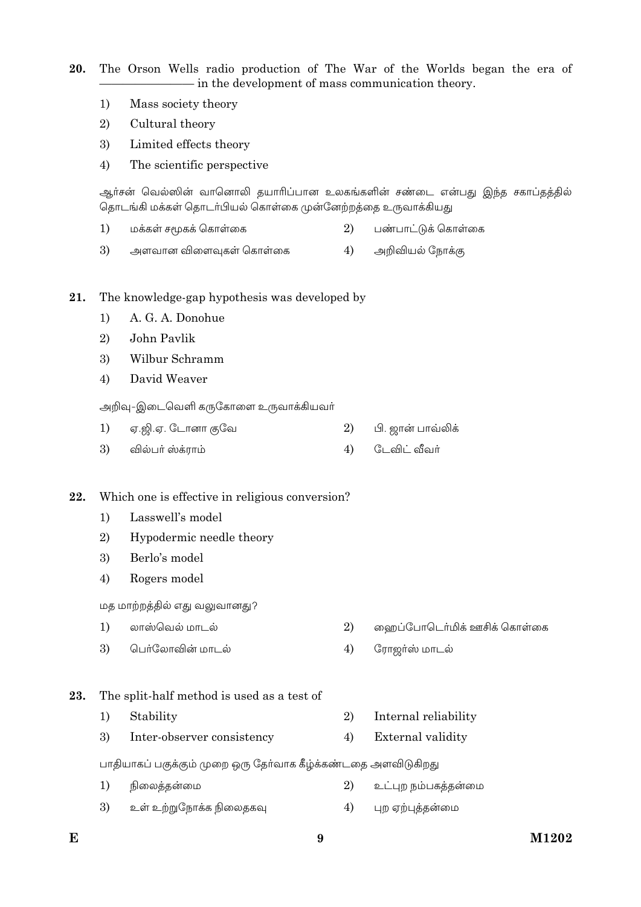20. The Orson Wells radio production of The War of the Worlds began the era of - in the development of mass communication theory.

- Mass society theory  $1)$
- 2) Cultural theory
- Limited effects theory 3)
- $4)$ The scientific perspective

ஆர்சன் வெல்ஸின் வானொலி தயாரிப்பான உலகங்களின் சண்டை என்பது இந்த சகாப்தத்தில் தொடங்கி மக்கள் தொடர்பியல் கொள்கை முன்னேற்றத்தை உருவாக்கியது

- $1)$ மக்கள் சமூகக் கொள்கை 2) பண்பாட்டுக் கொள்கை
- 3) 4) அளவான விளைவுகள் கொள்கை அறிவியல் நோக்கு
- 21. The knowledge-gap hypothesis was developed by
	- A. G. A. Donohue  $1)$
	- $\overline{2}$ John Pavlik
	- 3) Wilbur Schramm
	- $4)$ David Weaver

அறிவு-இடைவெளி கருகோளை உருவாக்கியவர்

- 1) ஏ.ஜி.ஏ. டோனா குவே 2) பி. ஜான் பாவ்லிக் டேவிட் வீவர் 3) வில்பர் ஸ்க்ராம் 4)
- Which one is effective in religious conversion?
	- $1)$ Lasswell's model
	- $\overline{2}$ Hypodermic needle theory
	- Berlo's model 3)
	- Rogers model  $4)$

மத மாற்றத்தில் எது வலுவானது?

- $1)$ லாஸ்வெல் மாடல் 2) ஹைப்போடெர்மிக் ஊசிக் கொள்கை
- பெர்லோவின் மாடல்  $\mathfrak{Z}$  $4)$ ரோஜர்ஸ் மாடல்
- The split-half method is used as a test of 23.
	- $1)$ Stability 2) Internal reliability
	- $4)$ 3) Inter-observer consistency External validity

பாதியாகப் பகுக்கும் முறை ஒரு தேர்வாக கீழ்க்கண்டதை அளவிடுகிறது

- $1)$ நிலைத்தன்மை  $\overline{2}$ உட்புற நம்பகத்தன்மை
- 3)  $4)$ உள் உற்றுநோக்க நிலைதகவு புற ஏற்புத்தன்மை

22.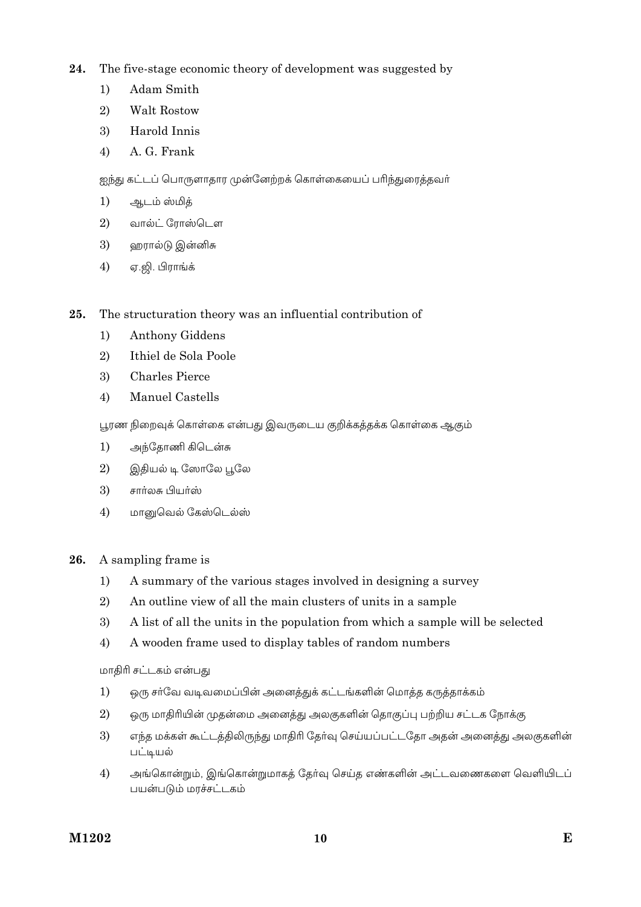- 24. The five-stage economic theory of development was suggested by
	- $1)$ Adam Smith
	- Walt Rostow 2)
	- Harold Innis 3)
	- A. G. Frank  $4)$

ஐந்து கட்டப் பொருளாதார முன்னேற்றக் கொள்கையைப் பரிந்துரைத்தவர்

- $1)$ ஆடம் ஸ்மித்
- $2)$ வால்ட் ரோஸ்டௌ
- 3) ஹரால்டு இன்னிசு
- $4)$ ஏ.ஜி. பிராங்க்

The structuration theory was an influential contribution of 25.

- $1)$ Anthony Giddens
- 2) Ithiel de Sola Poole
- $3)$ Charles Pierce
- Manuel Castells  $4)$

பூரண நிறைவுக் கொள்கை என்பது இவருடைய குறிக்கத்தக்க கொள்கை ஆகும்

- அந்தோணி கிடென்சு  $1)$
- $\overline{2}$ இதியல் டி ஸோலே பூலே
- 3) சார்லசு பியர்ஸ்
- $4)$ மானுவெல் கேஸ்டெல்ஸ்
- 26. A sampling frame is
	- $1)$ A summary of the various stages involved in designing a survey
	- 2) An outline view of all the main clusters of units in a sample
	- 3) A list of all the units in the population from which a sample will be selected
	- A wooden frame used to display tables of random numbers  $4)$

மாதிரி சட்டகம் என்பது

- $1)$ ஒரு சர்வே வடிவமைப்பின் அனைத்துக் கட்டங்களின் மொத்த கருத்தாக்கம்
- 2) ஒரு மாதிரியின் முதன்மை அனைத்து அலகுகளின் தொகுப்பு பற்றிய சட்டக நோக்கு
- 3) எந்த மக்கள் கூட்டத்திலிருந்து மாதிரி தேர்வு செய்யப்பட்டதோ அதன் அனைத்து அலகுகளின் பட்டியல்
- $4)$ அங்கொன்றும், இங்கொன்றுமாகத் தேர்வு செய்த எண்களின் அட்டவணைகளை வெளியிடப் பயன்படும் மாச்சட்டகம்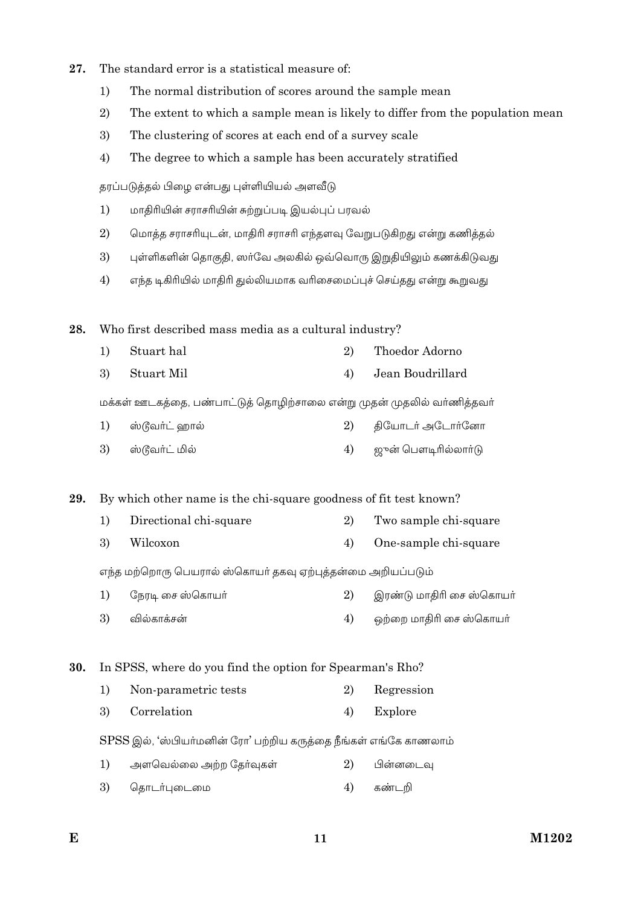- 27. The standard error is a statistical measure of:
	- $1)$ The normal distribution of scores around the sample mean
	- $2)$ The extent to which a sample mean is likely to differ from the population mean
	- 3) The clustering of scores at each end of a survey scale
	- $4)$ The degree to which a sample has been accurately stratified

தரப்படுத்தல் பிழை என்பது புள்ளியியல் அளவீடு

- $1)$ மாதிரியின் சராசரியின் சுற்றுப்படி இயல்புப் பரவல்
- 2) மொத்த சராசரியுடன், மாதிரி சராசரி எந்தளவு வேறுபடுகிறது என்று கணித்தல்
- 3) புள்ளிகளின் தொகுதி, ஸர்வே அலகில் ஒவ்வொரு இறுதியிலும் கணக்கிடுவது
- $4)$ எந்த டிகிரியில் மாதிரி துல்லியமாக வரிசைமைப்புச் செய்தது என்று கூறுவது

Who first described mass media as a cultural industry? 28.

- $1)$ Stuart hal  $2)$ Thoedor Adorno
- **Stuart Mil**  $4)$ Jean Boudrillard 3)

மக்கள் ஊடகத்தை, பண்பாட்டுத் தொழிற்சாலை என்று முதன் முதலில் வர்ணித்தவர்

- ஸ்டூவர்ட் ஹால் 2) தியோடர் அடோர்னோ  $1)$
- ஸ்டூவர்ட் மில் ஜுன் பௌடிரில்லாா்டு 3) 4)

29. By which other name is the chi-square goodness of fit test known?

- $1)$ Directional chi-square 2) Two sample chi-square
- 3) Wilcoxon  $4)$ One-sample chi-square

எந்த மற்றொரு பெயரால் ஸ்கொயர் தகவு ஏற்புத்தன்மை அறியப்படும்

- நேரடி சை ஸ்கொயர் இரண்டு மாதிரி சை ஸ்கொயர்  $1)$ 2)
- 3) வில்காக்சன்  $4)$ ஒற்றை மாதிரி சை ஸ்கொயர்

In SPSS, where do you find the option for Spearman's Rho? 30.

- $1)$ Non-parametric tests  $\overline{2}$ Regression
- 3) Correlation  $4)$ Explore

SPSS இல், 'ஸ்பியர்மனின் ரோ' பற்றிய கருத்தை நீங்கள் எங்கே காணலாம்

- $1)$ அளவெல்லை அற்ற தேர்வுகள்  $(2)$ பின்னடைவு
- 3) கொடர்புடைமை  $4)$ கண்டறி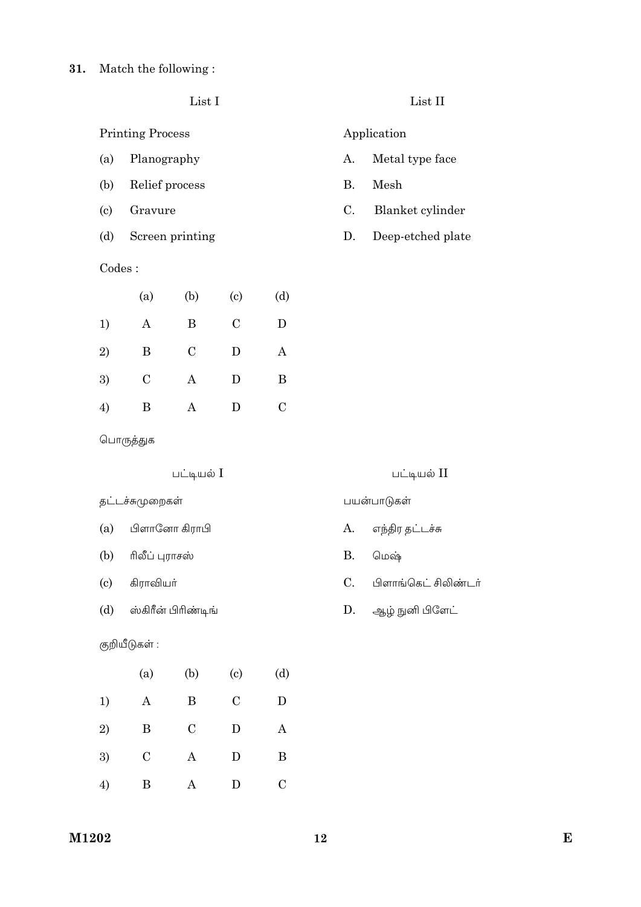List I

**Printing Process** 

- Planography  $(a)$
- Relief process  $(b)$
- $(c)$ Gravure
- $(d)$ Screen printing

# Codes:

|    | (a)           | (b)           | $\left( \mathrm{e}\right)$ | (d)            |
|----|---------------|---------------|----------------------------|----------------|
| 1) | Α             | B             | $\mathcal{C}$              | D              |
| 2) | B             | $\mathcal{C}$ | D                          | Α              |
| 3) | $\mathcal{C}$ | Α             | D                          | B              |
| 4) | В             | Α             | D                          | $\overline{C}$ |

# List II

### Application

- $A$ . Metal type face
- **B.** Mesh
- $\mathcal{C}$ . Blanket cylinder
- $D.$ Deep-etched plate

பொருத்துக

# பட்டியல் I

தட்டச்சுமுறைகள்

- பிளானோ கிராபி  $(a)$
- $(b)$ ரிலீப் புராசஸ்
- $(c)$ கிராவியா்
- $(d)$ ஸ்கிரீன் பிரிண்டிங்

### குறியீடுகள் :

|           | (a)           | (b)           | $\left( \mathrm{e}\right)$ | (d)           |
|-----------|---------------|---------------|----------------------------|---------------|
| 1)        | Α             | B             | $\mathcal{C}$              | D             |
| $\bf{2)}$ | B             | $\mathcal{C}$ | D                          | Α             |
| 3)        | $\mathcal{C}$ | Α             | D                          | B             |
| 4)        | B             | А             | D                          | $\mathcal{C}$ |

### பட்டியல் II

### பயன்பாடுகள்

- எந்திர தட்டச்சு  $A$ .
- **B.** மெஷ்
- $C.$ பிளாங்கெட் சிலிண்டர்
- ஆழ் நுனி பிளேட் D.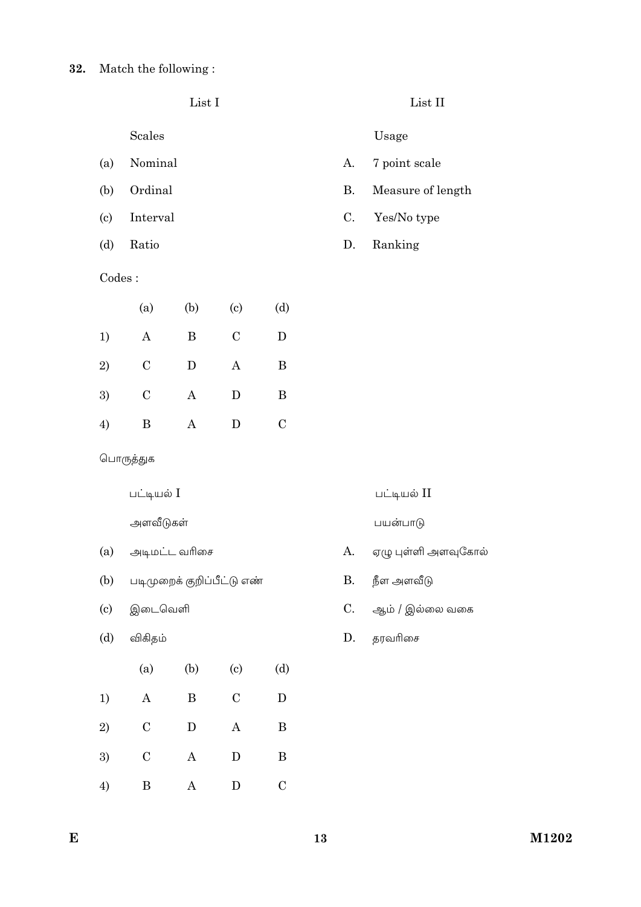|                            |                  | List I                     |                            |               |           | List II             |
|----------------------------|------------------|----------------------------|----------------------------|---------------|-----------|---------------------|
|                            | Scales           |                            |                            |               |           | Usage               |
| (a)                        | Nominal          |                            |                            |               | А.        | 7 point scale       |
| (b)                        | Ordinal          |                            |                            |               | <b>B.</b> | Measure of length   |
| (c)                        | Interval         |                            |                            |               | C.        | Yes/No type         |
| (d)                        | Ratio            |                            |                            |               | D.        | Ranking             |
| Codes:                     |                  |                            |                            |               |           |                     |
|                            | (a)              | (b)                        | (c)                        | (d)           |           |                     |
| 1)                         | $\boldsymbol{A}$ | B                          | $\mathcal{C}$              | D             |           |                     |
| 2)                         | $\mathbf C$      | $\mathbf D$                | $\bf{A}$                   | $\bf{B}$      |           |                     |
| 3)                         | $\mathcal C$     | $\mathbf{A}$               | $\mathbf D$                | $\bf{B}$      |           |                     |
| 4)                         | B                | $\boldsymbol{A}$           | D                          | $\mathcal{C}$ |           |                     |
|                            | பொருத்துக        |                            |                            |               |           |                     |
|                            | பட்டியல் I       |                            |                            |               |           | பட்டியல் II         |
|                            | அளவீடுகள்        |                            |                            |               |           | பயன்பாடு            |
| (a)                        |                  | அடிமட்ட வரிசை              |                            |               | А.        | ஏழு புள்ளி அளவுகோல் |
| (b)                        |                  | படிமுறைக் குறிப்பீட்டு எண் |                            |               | Β.        | நீள அளவீடு          |
| $\left( \mathrm{c}\right)$ | இடைவெளி          |                            |                            |               | C.        | ஆம் / இல்லை வகை     |
| (d)                        | விகிதம்          |                            |                            |               | D.        | தரவரிசை             |
|                            | (a)              | (b)                        | $\left( \mathrm{c}\right)$ | (d)           |           |                     |
| 1)                         | $\mathbf A$      | $\, {\bf B}$               | $\mathbf C$                | ${\bf D}$     |           |                     |
| $\,2)$                     | $\mathbf C$      | $\mathbf D$                | $\boldsymbol{\rm{A}}$      | B             |           |                     |
| 3)                         | ${\bf C}$        | $\bf{A}$                   | ${\bf D}$                  | $\, {\bf B}$  |           |                     |
| 4)                         | $\, {\bf B}$     | $\boldsymbol{A}$           | $\mathbf D$                | $\mathbf C$   |           |                     |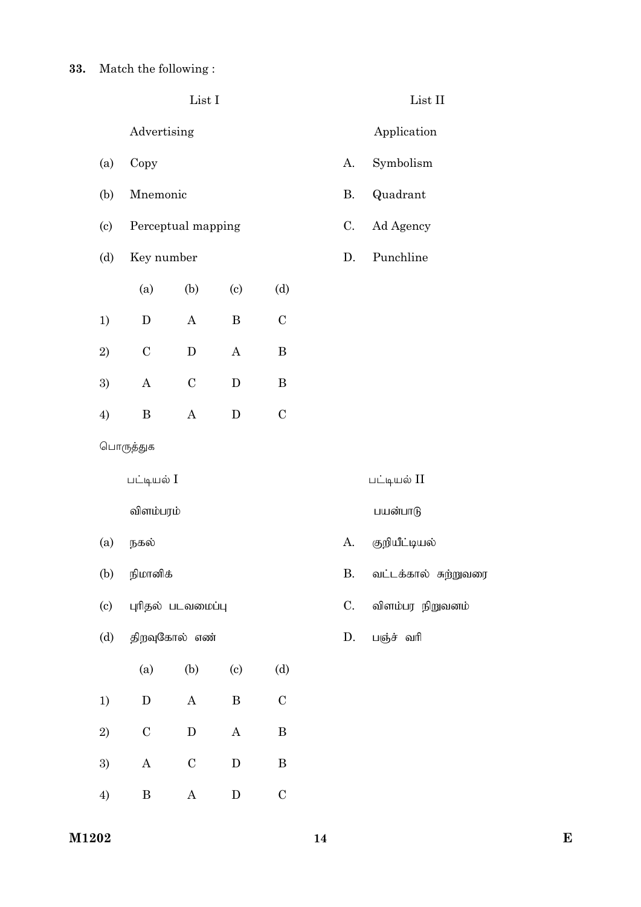|     |              | ${\rm List}$ I        |                            |              |                | $\operatorname{List}$ II |
|-----|--------------|-----------------------|----------------------------|--------------|----------------|--------------------------|
|     | Advertising  |                       |                            |              |                | Application              |
| (a) | Copy         |                       |                            |              | А.             | Symbolism                |
| (b) | Mnemonic     |                       |                            |              | <b>B.</b>      | Quadrant                 |
| (c) |              | Perceptual mapping    |                            |              | C.             | Ad Agency                |
| (d) | Key number   |                       |                            |              | D.             | Punchline                |
|     | (a)          | (b)                   | (c)                        | (d)          |                |                          |
| 1)  | ${\bf D}$    | $\boldsymbol{\rm{A}}$ | $\, {\bf B}$               | $\mathbf C$  |                |                          |
| 2)  | $\mathbf C$  | ${\bf D}$             | $\bf{A}$                   | $\, {\bf B}$ |                |                          |
| 3)  | $\mathbf{A}$ | $\mathcal C$          | $\mathbf D$                | $\, {\bf B}$ |                |                          |
| 4)  | $\, {\bf B}$ | $\boldsymbol{\rm{A}}$ | ${\bf D}$                  | $\mathbf C$  |                |                          |
|     | பொருத்துக    |                       |                            |              |                |                          |
|     | பட்டியல் I   |                       |                            |              |                | பட்டியல் II              |
|     | விளம்பரம்    |                       |                            |              |                | பயன்பாடு                 |
| (a) | நகல்         |                       |                            |              | А.             | குறியீட்டியல்            |
| (b) | நிமானிக்     |                       |                            |              | <b>B.</b>      | வட்டக்கால் சுற்றுவரை     |
| (c) |              | புரிதல் படவமைப்பு     |                            |              | $\mathbf{C}$ . | விளம்பர நிறுவனம்         |
| (d) |              | திறவுகோல் எண்         |                            |              | D.             | பஞ்ச் வரி                |
|     | (a)          | (b)                   | $\left( \mathrm{c}\right)$ | (d)          |                |                          |
| 1)  | ${\bf D}$    | $\mathbf A$           | $\, {\bf B}$               | $\mathbf C$  |                |                          |
| 2)  | $\mathbf C$  | ${\bf D}$             | $\mathbf A$                | $\, {\bf B}$ |                |                          |
| 3)  | $\mathbf A$  | $\mathbf C$           | ${\bf D}$                  | $\, {\bf B}$ |                |                          |
| 4)  | $\, {\bf B}$ | $\boldsymbol{A}$      | ${\bf D}$                  | $\mathbf C$  |                |                          |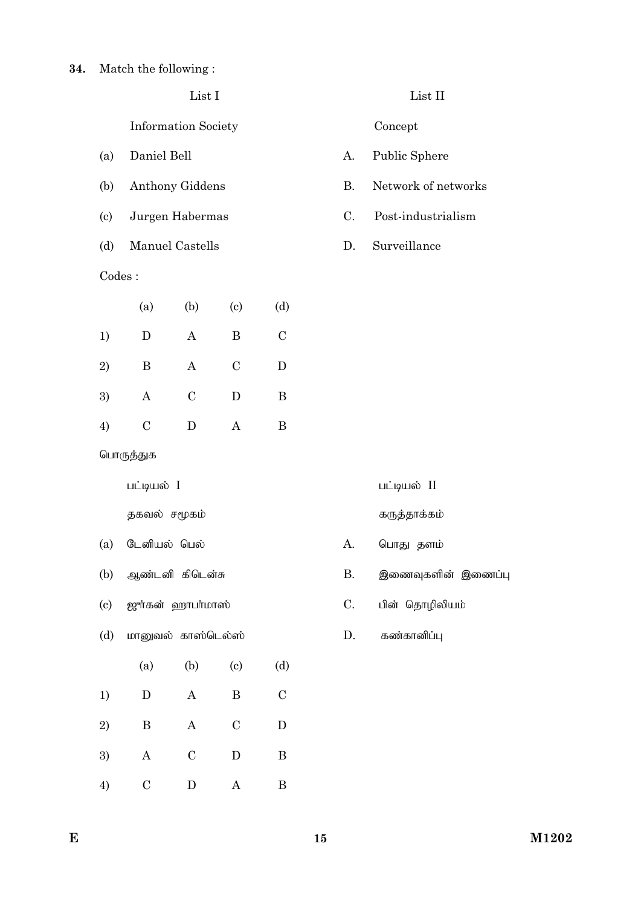Information Society Concept

- 
- 
- 
- (d) Manuel Castells D. Surveillance

### Codes :

|    | (a)            | (b)            | $\left( \mathrm{e}\right)$ | (d)           |
|----|----------------|----------------|----------------------------|---------------|
| 1) | D              | A              | B                          | $\mathcal{C}$ |
| 2) | B              | Α              | $\overline{C}$             | D             |
| 3) | Α              | $\overline{C}$ | D                          | B             |
| 4) | $\overline{C}$ | D              | А                          | B             |

List I List II

- (a) Daniel Bell A. Public Sphere
- (b) Anthony Giddens B. Network of networks
- (c) Jurgen Habermas C. Post-industrialism
	-

| பொருத்துக |
|-----------|
|-----------|

jfty; r%fk; fUj;jhf;fk;

- (a) Nldpay; ngy; A. nghJ jsk;
- 
- (c)  $\mathbb{R}$ ர்கன் ஹாபா்மாஸ் $\mathbb{C}$ . பின் தொழிலியம்
- (d) மானுவல் காஸ்டெல்ஸ் $D$ . கண்கானிப்பு
- (a) (b) (c) (d) 1) D A B C 2) B A C D 3) A C D B 4) C D A B
- $\Box$ பட்டியல்  $I$  glib $\Box$ 
	-
- (b) Mz;ldp fpnld;R B. ,izTfspd; ,izg;G
	-
	-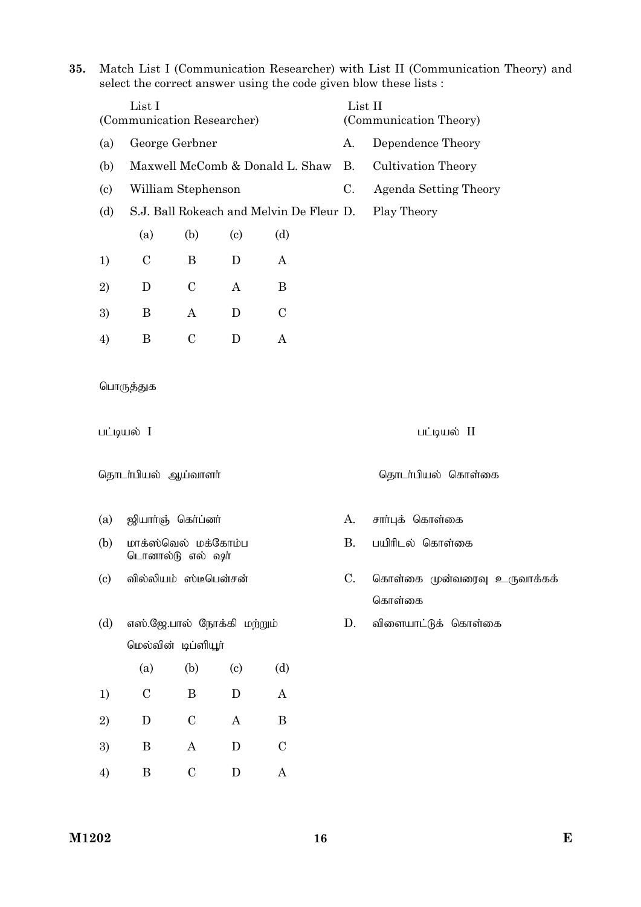**35.** Match List I (Communication Researcher) with List II (Communication Theory) and select the correct answer using the code given blow these lists :

|                            | List I<br>(Communication Researcher) |                                         |                            |                                          |             | (Communication Theory)      |
|----------------------------|--------------------------------------|-----------------------------------------|----------------------------|------------------------------------------|-------------|-----------------------------|
| (a)                        |                                      | George Gerbner                          |                            |                                          | A.          | Dependence Theory           |
| (b)                        |                                      |                                         |                            | Maxwell McComb & Donald L. Shaw          | <b>B.</b>   | <b>Cultivation Theory</b>   |
| $\left( \text{c}\right)$   |                                      | William Stephenson                      |                            |                                          | $C_{\cdot}$ | Agenda Setting Theory       |
| (d)                        |                                      |                                         |                            | S.J. Ball Rokeach and Melvin De Fleur D. |             | Play Theory                 |
|                            | (a)                                  | (b)                                     | $\left( \mathrm{c}\right)$ | (d)                                      |             |                             |
| 1)                         | $\mathcal{C}$                        | B                                       | D                          | A                                        |             |                             |
| 2)                         | D                                    | $\mathcal{C}$                           | $\bf{A}$                   | B                                        |             |                             |
| 3)                         | B                                    | $\boldsymbol{A}$                        | D                          | $\mathbf C$                              |             |                             |
| 4)                         | B                                    | $\mathcal{C}$                           | D                          | A                                        |             |                             |
|                            | பொருத்துக<br>பட்டியல் I              |                                         |                            |                                          |             | பட்டியல் II                 |
|                            | தொடர்பியல் ஆய்வாளர்                  |                                         |                            |                                          |             | தொடர்பியல் கொள்கை           |
| (a)                        |                                      |                                         |                            |                                          | А.          | சார்புக் கொள்கை             |
| (b)                        | ஜியார்ஞ் கெர்ப்னர்                   | மாக்ஸ்வெல் மக்கோம்ப<br>டொனால்டு எல் ஷர் |                            |                                          | <b>B.</b>   | பயிரிடல் கொள்கை             |
| $\left( \mathrm{c}\right)$ |                                      | வில்லியம் ஸ்டீபென்சன்                   |                            |                                          | C.          |                             |
|                            |                                      |                                         |                            |                                          |             | கொள்கை                      |
| (d)                        |                                      |                                         | எஸ்.ஜே.பால் நோக்கி மற்றும் |                                          | D.          | விளையாட்டுக் கொள்கை         |
|                            |                                      | மெல்வின் டிப்ளியூர்                     |                            |                                          |             |                             |
|                            | (a)                                  | (b)                                     | (c)                        | (d)                                      |             |                             |
| 1)                         | $\mathbf C$                          | B                                       | $\mathbf D$                | A                                        |             |                             |
| 2)                         | $\mathbf D$                          | $\mathcal{C}$                           | $\bf{A}$                   | $\, {\bf B}$                             |             |                             |
| 3)                         | $\, {\bf B}$                         | $\bf{A}$                                | ${\bf D}$                  | $\mathcal{C}$                            |             | கொள்கை முன்வரைவு உருவாக்கக் |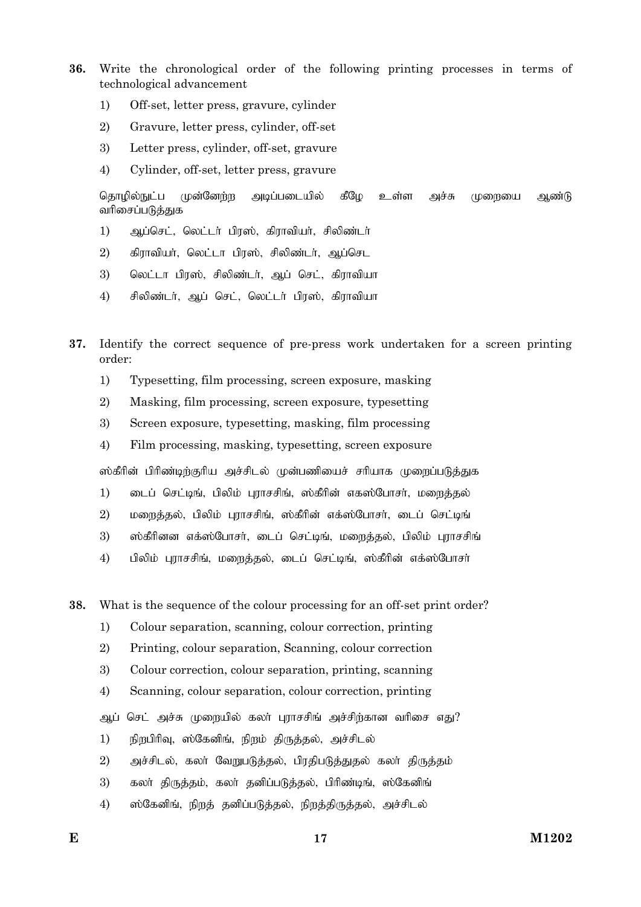- **36.** Write the chronological order of the following printing processes in terms of technological advancement
	- 1) Off-set, letter press, gravure, cylinder
	- 2) Gravure, letter press, cylinder, off-set
	- 3) Letter press, cylinder, off-set, gravure
	- 4) Cylinder, off-set, letter press, gravure

தொழில்நுட்ப முன்னேற்ற அடிப்படையில் கீழே உள்ள அச்சு முறையை ஆண்டு வரிசைப்படுத்துக

- 1) அப்செட், லெட்டர் பிரஸ், கிராவியர், சிலிண்டர்
- $2$ ) கிராவியர், லெட்டா பிரஸ், சிலிண்டர், ஆப்செட
- 3) வெட்டா பிரஸ், சிலிண்டர், ஆப் செட், கிராவியா
- 4) சிலிண்டர், ஆப் செட், லெட்டர் பிரஸ், கிராவியா
- **37.** Identify the correct sequence of pre-press work undertaken for a screen printing order:
	- 1) Typesetting, film processing, screen exposure, masking
	- 2) Masking, film processing, screen exposure, typesetting
	- 3) Screen exposure, typesetting, masking, film processing
	- 4) Film processing, masking, typesetting, screen exposure

ஸ்கீரின் பிரிண்டிற்குரிய அச்சிடல் முன்பணியைச் சரியாக முறைப்படுத்துக

- 1) பைப் செட்டிங், பிலிம் புராசசிங், ஸ்கீரின் எகஸ்போசர், மளைத்தல்
- 2) மறைத்தல், பிலிம் புராசசிங், ஸ்கீரின் எக்ஸ்போசர், டைப் செட்டிங்
- 3) … ஸ்கீரினன எக்ஸ்போசர், டைப் செட்டிங், மறைத்தல், பிலிம் புராசசிங்
- 4) பிலிம் புராசசிங், மறைத்தல், டைப் செட்டிங், ஸ்கீரின் எக்ஸ்போசர்

**38.** What is the sequence of the colour processing for an off-set print order?

- 1) Colour separation, scanning, colour correction, printing
- 2) Printing, colour separation, Scanning, colour correction
- 3) Colour correction, colour separation, printing, scanning
- 4) Scanning, colour separation, colour correction, printing
- ஆப் செட் அச்சு முறையில் கலா் புராசசிங் அச்சிற்கான வரிசை எது?
- 1) நிறபிரிவு, ஸ்கேனிங், நிறம் திருத்தல், அச்சிடல்
- 2) mr;rply;> fyh; NtWgLj;jy;> gpujpgLj;Jjy; fyh; jpUj;jk;
- 3) கலா் திருத்தம், கலா் தனிப்படுத்தல், பிரிண்டிங், ஸ்கேனிங்
- 4) ஸ்கேனிங், நிறத் தனிப்படுத்தல், நிறத்திருத்தல், அச்சிடல்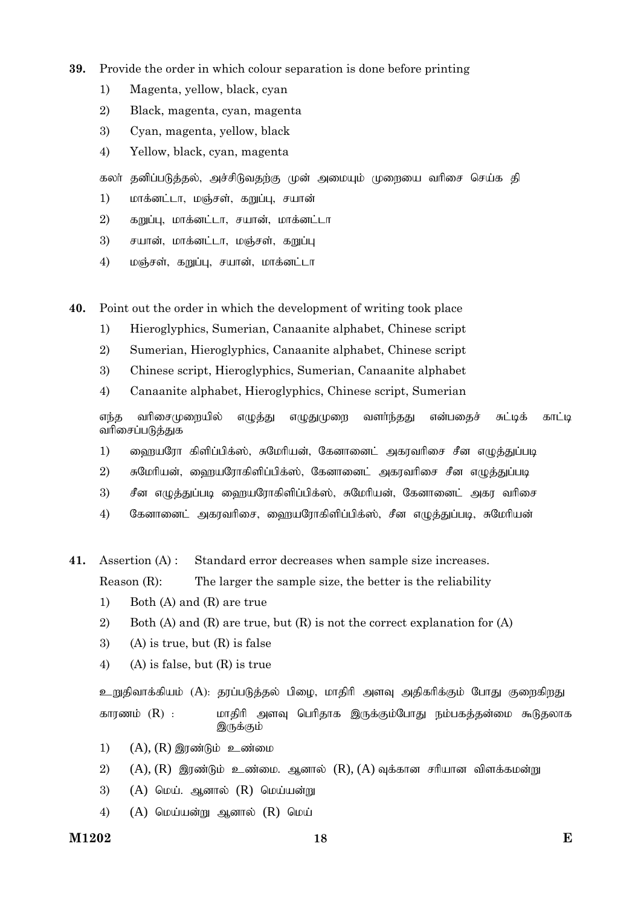- **39.** Provide the order in which colour separation is done before printing
	- 1) Magenta, yellow, black, cyan
	- 2) Black, magenta, cyan, magenta
	- 3) Cyan, magenta, yellow, black
	- 4) Yellow, black, cyan, magenta

கலா் தனிப்படுத்தல், அச்சிடுவதற்கு முன் அமையும் முறையை வாிசை செய்க தி

- 1) மாக்னட்டா, மஞ்சள், கறுப்பு, சயான்
- $2)$  கறுப்பு, மாக்னட்டா, சயான், மாக்னட்டா
- 3) சயான், மாக்னட்டா, மஞ்சள், கறுப்பு
- 4) மஞ்சள், கறுப்பு, சயான், மாக்னட்டா

**40.** Point out the order in which the development of writing took place

- 1) Hieroglyphics, Sumerian, Canaanite alphabet, Chinese script
- 2) Sumerian, Hieroglyphics, Canaanite alphabet, Chinese script
- 3) Chinese script, Hieroglyphics, Sumerian, Canaanite alphabet
- 4) Canaanite alphabet, Hieroglyphics, Chinese script, Sumerian

எந்த வரிசைமுறையில் எழுத்து எழுதுமுறை வளர்ந்தது என்பதைச் சுட்டிக் காட்டி வரிசைப்படுத்துக

- 1) வைறயரோ கிளிப்பிக்ஸ், சுமேரியன், கேனானைட் அகரவரிசை சீன எழுத்துப்படி
- $2$ ) சுமேரியன், ஹையரோகிளிப்பிக்ஸ், கேனானைட் அகரவரிசை சீன எழுத்துப்படி
- 3) சீன எமுத்துப்படி ஹையரோகிளிப்பிக்ஸ், சுமேரியன், கேனானைட் அகா வரிசை
- 4) கேனானைட் அகரவரிசை, வைரயரோகிளிப்பிக்ஸ், சீன எமுக்குப்படி, சுமேரியன்

**41.** Assertion (A) : Standard error decreases when sample size increases. Reason (R): The larger the sample size, the better is the reliability

- 1) Both (A) and (R) are true
- 2) Both (A) and (R) are true, but (R) is not the correct explanation for (A)
- 3) (A) is true, but  $(R)$  is false
- 4) (A) is false, but  $(R)$  is true

உறுதிவாக்கியம் (A): தரப்படுத்தல் பிழை, மாதிரி அளவு அதிகரிக்கும் போது குறைகிறது காரணம் (R) : மாதிரி அளவு பெரிதாக இருக்கும்போது நம்பகத்தன்மை கூடுதலாக இருக்கும்

- $1)$   $(A)$ ,  $(R)$  இரண்டும் உண்மை
- $2)$  (A), (R) இரண்டும் உண்மை. ஆனால் (R), (A) வுக்கான சரியான விளக்கமன்று
- 3)  $(A)$  மெய். ஆனால்  $(R)$  மெய்யன்று
- 4)  $(A)$  மெய்யன்று ஆனால்  $(R)$  மெய்

**M1202 E 18**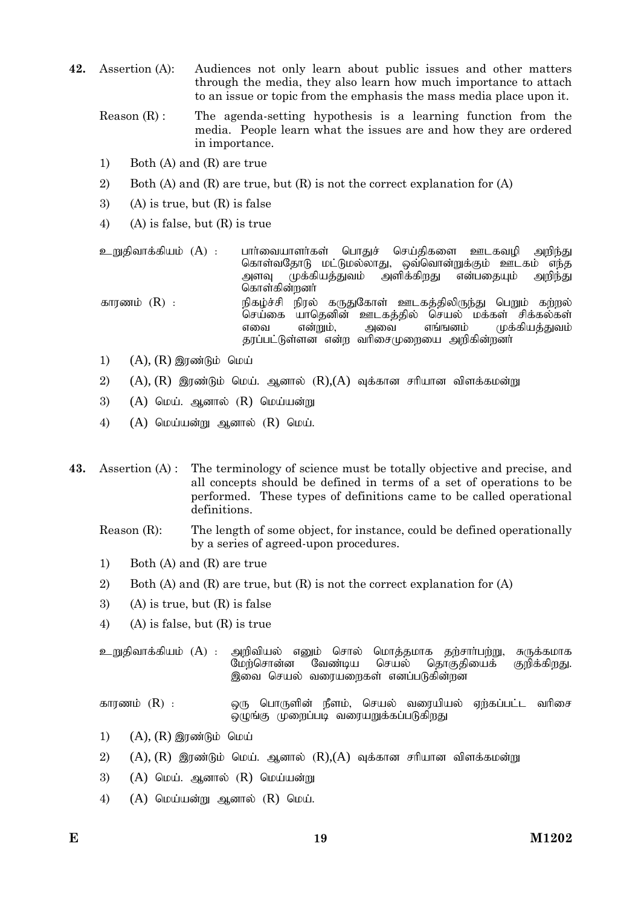- **42.** Assertion (A): Audiences not only learn about public issues and other matters through the media, they also learn how much importance to attach to an issue or topic from the emphasis the mass media place upon it.
	- Reason  $(R)$ : The agenda-setting hypothesis is a learning function from the media. People learn what the issues are and how they are ordered in importance.
	- 1) Both (A) and (R) are true
	- 2) Both (A) and (R) are true, but (R) is not the correct explanation for (A)
	- 3) (A) is true, but (R) is false
	- 4) (A) is false, but (R) is true

உறுதிவாக்கியம் (A) : பாா்வையாளா்கள் பொதுச் செய்திகளை ஊடகவுமி அறிந்து கொள்வதோடு மட்டுமல்லாது, ஒவ்வொன்றுக்கும் ஊடகம் எந்த<br>அளவு முக்கியத்துவம் அளிக்கிறது என்பதையும் அறிந்து அளவு முக்கியத்துவம் அளிக்கிறது என்பதையும் அறிந்து கொள்கின்றனர் காரணம் (R) : நிகழ்ச்சி நிரல் கருதுகோள் ஊடகத்திலிருந்து பெறும் கற்றல் .<br>செய்கை யாதெனின் ஊடகத்தில் செயல் மக்கள் சிக்கல்கள்<br>எவை என்றும், அவை எங்ஙனம் முக்கியக்குவம் எவை என்றும், அவை எங்ஙனம் முக்கியத்துவம் தரப்பட்டுள்ளன என்ற வரிசைமுறையை அறிகின்றனர்

- 1)  $(A)$ ,  $(R)$  இரண்டும் மெய்
- 2)  $(A)$ ,  $(R)$  இரண்டும் மெய். ஆனால்  $(R)$ , $(A)$  வுக்கான சரியான விளக்கமன்று
- $3)$  (A)  $\Omega$ เ $\nu$ น์,  $\Omega$ ,  $\Omega$  (R)  $\Omega$ เ $\nu$ น์เนอฮ์ทห
- 4)  $(A)$  மெய்யன்று ஆனால்  $(R)$  மெய்.
- **43.** Assertion (A) : The terminology of science must be totally objective and precise, and all concepts should be defined in terms of a set of operations to be performed. These types of definitions came to be called operational definitions.

### Reason (R): The length of some object, for instance, could be defined operationally by a series of agreed-upon procedures.

- 1) Both (A) and (R) are true
- 2) Both (A) and (R) are true, but (R) is not the correct explanation for (A)
- 3) (A) is true, but  $(R)$  is false
- 4) (A) is false, but (R) is true

உறுதிவாக்கியம் (A) : அறிவியல் எனும் சொல் மொத்தமாக தற்சாா்பற்று, சுருக்கமாக<br>மேற்சொன்னை வேண்டிய செயல் தொகுதியைக் குறிக்கிறது. தொகுதியைக் இவை செயல் வரையறைகள் எனப்படுகின்றன

fhuzk; (R) : xU nghUspd; ePsk;> nray; tiuapay; Vw;fg;gl;l thpir டிழங்கு முறைப்படி வரையறுக்கப்படுகி<u>றது</u>

- 1)  $(A)$ ,  $(R)$  இரண்டும் மெய்
- 2)  $(A)$ ,  $(R)$  இரண்டும் மெய். ஆனால்  $(R)$ , $(A)$  வுக்கான சரியான விளக்கமன்று
- 3)  $(A)$  மெய். ஆனால்  $(R)$  மெய்யன்று
- $(4)$   $(A)$  மெய்யன்று ஆனால்  $(R)$  மெய்.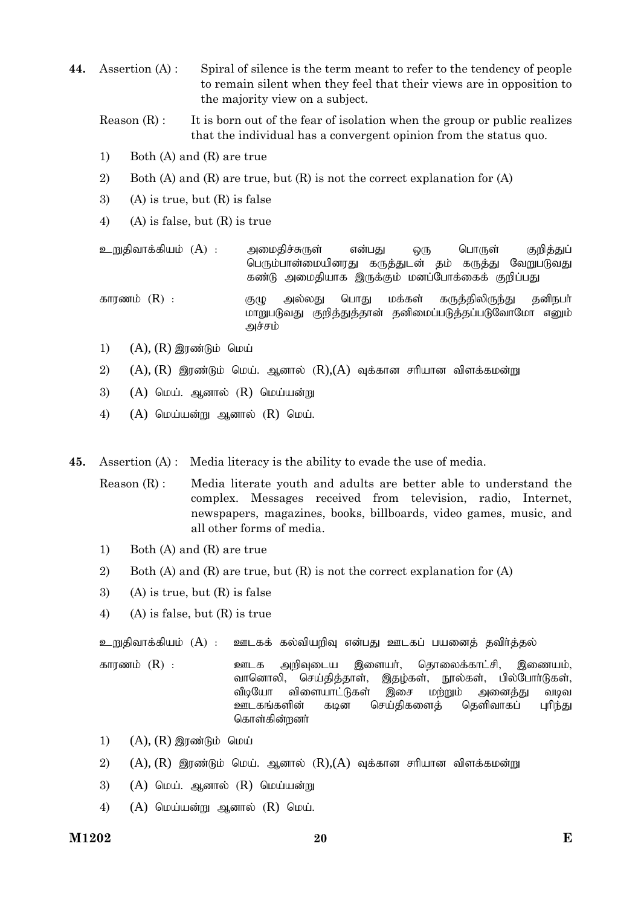- **44.** Assertion (A) : Spiral of silence is the term meant to refer to the tendency of people to remain silent when they feel that their views are in opposition to the majority view on a subject.
	- Reason  $(R)$ : It is born out of the fear of isolation when the group or public realizes that the individual has a convergent opinion from the status quo.
	- 1) Both (A) and (R) are true
	- 2) Both (A) and (R) are true, but (R) is not the correct explanation for (A)
	- 3) (A) is true, but  $(R)$  is false
	- 4) (A) is false, but (R) is true

உறுதிவாக்கியம் (A) : அமைதிச்சுருள் என்பது ஒரு பொருள் குறித்துப் பெரும்பான்மையினரது கருத்துடன் தம் கருத்து வேறுபடுவது கண்டு அமைதியாக இருக்கும் மனப்போக்கைக் குறிப்பது

fhuzk; (R) : FO my;yJ nghJ kf;fs; fUj;jpypUe;J jdpegh; மாறுபடுவது குறித்துத்தான் தனிமைப்படுத்தப்படுவோமோ எனும் அச்சம்

- 1)  $(A), (R)$  இரண்டும் மெய்
- 2)  $(A)$ ,  $(R)$  இரண்டும் மெய். ஆனால்  $(R)$ , $(A)$  வுக்கான சரியான விளக்கமன்று
- 3)  $(A)$  மெய். ஆனால்  $(R)$  மெய்யன்று
- $(4)$   $(A)$  மெய்யன்று ஆனால்  $(R)$  மெய்.
- **45.** Assertion (A) : Media literacy is the ability to evade the use of media.

Reason (R) : Media literate youth and adults are better able to understand the complex. Messages received from television, radio, Internet, newspapers, magazines, books, billboards, video games, music, and all other forms of media.

- 1) Both (A) and (R) are true
- 2) Both (A) and (R) are true, but (R) is not the correct explanation for (A)
- 3) (A) is true, but  $(R)$  is false
- 4) (A) is false, but (R) is true

உறுதிவாக்கியம் (A) : ஊடகக் கல்வியறிவு என்பது ஊடகப் பயனைத் தவிர்த்தல்

- fhuzk; (R) : Clf mwpTila ,isah;> njhiyf;fhl;rp> ,izak;> வானொலி, செய்தித்தாள், இதழ்கள், நூல்கள், பில்போர்டுகள், வீடியோ விளையாட்டுகள் இசை மற்றும் அனைத்து வடிவ<br>ஊடகங்களின் கடின செய்திகளைத் தெளிவாகப் புரிந்து ஊடகங்களின் கடின செய்திகளைத் தெளிவாகப் புரிந்து கொள்கின்றனர்
- $1)$   $(A)$ ,  $(R)$  இரண்டும் மெய்
- 2)  $(A)$ ,  $(R)$  இரண்டும் மெய். ஆனால்  $(R)$ , $(A)$  வுக்கான சரியான விளக்கமன்று
- 3)  $(A)$  மெய். ஆனால்  $(R)$  மெய்யன்று
- $(4)$   $(A)$  மெய்யன்று ஆனால்  $(R)$  மெய்.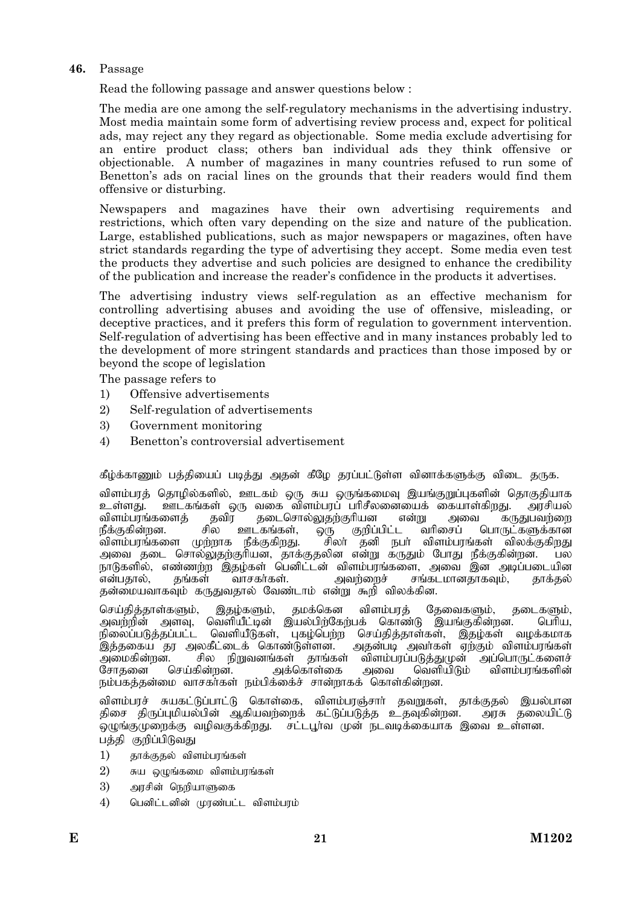# **46.** Passage

Read the following passage and answer questions below :

The media are one among the self-regulatory mechanisms in the advertising industry. Most media maintain some form of advertising review process and, expect for political ads, may reject any they regard as objectionable. Some media exclude advertising for an entire product class; others ban individual ads they think offensive or objectionable. A number of magazines in many countries refused to run some of Benetton's ads on racial lines on the grounds that their readers would find them offensive or disturbing.

Newspapers and magazines have their own advertising requirements and restrictions, which often vary depending on the size and nature of the publication. Large, established publications, such as major newspapers or magazines, often have strict standards regarding the type of advertising they accept. Some media even test the products they advertise and such policies are designed to enhance the credibility of the publication and increase the reader's confidence in the products it advertises.

The advertising industry views self-regulation as an effective mechanism for controlling advertising abuses and avoiding the use of offensive, misleading, or deceptive practices, and it prefers this form of regulation to government intervention. Self-regulation of advertising has been effective and in many instances probably led to the development of more stringent standards and practices than those imposed by or beyond the scope of legislation

The passage refers to

- 1) Offensive advertisements
- 2) Self-regulation of advertisements
- 3) Government monitoring
- 4) Benetton's controversial advertisement

கீழ்க்காணும் பத்தியைப் படித்து அதன் கீழே தரப்பட்டுள்ள வினாக்களுக்கு விடை தருக.

விளம்பரத் தொழில்களில், ஊடகம் ஒரு சுய ஒருங்கமைவு இயங்குறுப்புகளின் தொகுதியாக உள்ளது. ஊடகங்கள் ஒரு வகை விளம்பரப் பரிசீலனையைக் கையாள்கிறது. அரசியல்<br>விளம்பரங்களைத் தவிர தடைசொல்லுதற்குரியன என்று அவை கருதுபவற்றை விளம்பரங்களைத் தவிர தடைசொல்லுதற்குரியன என்று அன<br>நீக்குகின்றன. சில ஊடகங்கள், ஒரு குறிப்பிட்ட வரிசைப் நீக்குகின்றன. சில ஊடகங்கள், ஒரு குறிப்பிட்ட வரிசைப் பொருட்களுக்கான<br>விளம்பரங்களை முற்றாக நீக்குகிறது. சிலர் தனி நபர் விளம்பரங்கள் விலக்குகிறது ,<br>`சிலா் `தனி நபா் விளம்பரங்கள் `விலக்குகிறது அவை தடை சொல்லுதற்குரியன், தாக்குதலின என்று கருதும் போது நீக்குகின்றன. பல .<br>நாடுகளில், எண்ணற்ற இதழ்கள் பெனிட்டன் விளம்பரங்களை, அவை இன அடிப்படையின<br>என்பதால், தங்கள் வாசகர்கள். அவற்றைச் சங்கடமானதாகவும், தாக்தல் சங்கடமானதாகவும், தாக்தல் தன்மையவாகவும் கருதுவதால் வேண்டாம் என்று கூறி விலக்கின.

செய்தித்தாள்களும், இதழ்களும், தமக்கென விளம்பரத் தேவைகளும், தடைகளும், அவற்றின் அளவு, வெளியீட்டின் இயல்பிற்கேற்பக் கொண்டு இயங்குகின்றன. பெரிய, நிலைப்படுத்தப்பட்ட வெளியீடுகள், புகழ்பெற்ற செய்தித்தாள்கள், இதழ்கள் வழக்கமாக .<br>இத்தகைய தர அலகீட்டைக் கொண்டுள்ளன. அதன்படி அவர்கள் ஏற்கும் விளம்பரங்கள் mikfpd;wd. rpy epWtdq;fs; jhq;fs; tpsk;gug;gLj;JKd; mg;nghUl;fisr; அக்கொள்கை அவை வெளியிடும் விளம்பரங்களின் நம்பகத்தன்மை வாசகர்கள் நம்பிக்கைச் சான்றாகக் கொள்கின்றன.

விளம்பரச் சுயகட்டுப்பாட்டு கொள்கை, விளம்பரஞ்சார் தவறுகள், தாக்குதல் இயல்பான திசை திருப்புமியல்பின் ஆகியவற்றைக் கட்டுப்படுத்த உதவுகின்றன. அரசு தலையிட்டு  $\alpha$ ழுங்குமுறைக்கு வழிவகுக்கிறது. சட்டபூர்வ முன் நடவடிக்கையாக இவை உள்ளன. பத்தி குறிப்பிடுவது

- $1$ ) காக்குகல் விளம்பாங்கள்
- $2)$  சுய ஒழுங்கமை விளம்பரங்கள்
- 3) அரசின் நெறியாளுகை
- $4)$  பெனிட்டனின் முரண்பட்ட விளம்பரம்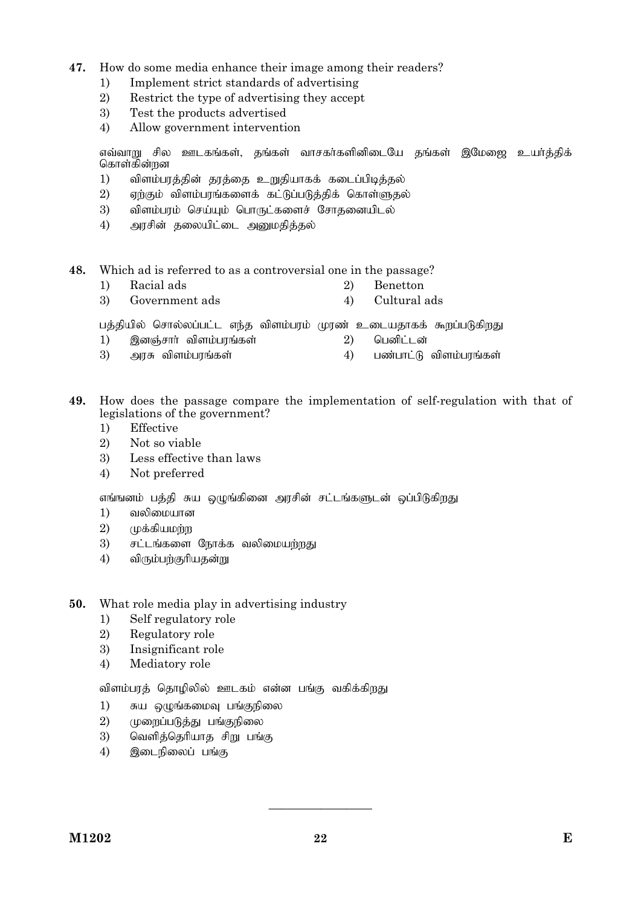# **47.** How do some media enhance their image among their readers?

- 1) Implement strict standards of advertising
- 2) Restrict the type of advertising they accept
- 3) Test the products advertised
- 4) Allow government intervention

எவ்வாறு சில ஊடகங்கள், தங்கள் வாசகர்களினிடையே தங்கள் இமேஜை உயர்த்திக் கொள்கின்றன

- 1) விளம்பரத்தின் தரத்தை உறுதியாகக் கடைப்பிடித்தல்
- $2$ ) ஏற்கும் விளம்பரங்களைக் கட்டுப்படுத்திக் கொள்ளுதல்
- $3$ ) விளம்பரம் செய்யும் பொருட்களைச் சோகனையிடல்
- 4) அரசின் தலையிட்டை அனுமதித்தல்
- **48.** Which ad is referred to as a controversial one in the passage?
	- 1) Racial ads 2) Benetton
	- 3) Government ads 4) Cultural ads

பத்தியில் சொல்லப்பட்ட எந்த விளம்பரம் முரண் உடையதாகக் கூறப்படுகிறது

- 1) ,dQ;rhh; tpsk;guq;fs; 2) ngdpl;ld;
- 3) அரசு விளம்பரங்கள்  $\left( \begin{array}{ccc} 3 & 4 \end{array} \right)$  பண்பாட்டு விளம்பரங்கள்
- **49.** How does the passage compare the implementation of self-regulation with that of legislations of the government?
	- 1) Effective
	- 2) Not so viable
	- 3) Less effective than laws
	- 4) Not preferred

எங்ஙனம் பத்தி சுய ஒழுங்கினை அரசின் சட்டங்களுடன் ஒப்பிடுகிறது

- $1)$  வலிமையான
- $2)$   $(\mu$ க்கியமற்ற
- $3$ ) சட்டங்களை நோக்க வலிமையற்றது
- $4$ ) விரும்பற்குரியதன்று
- **50.** What role media play in advertising industry
	- 1) Self regulatory role
	- 2) Regulatory role
	- 3) Insignificant role
	- 4) Mediatory role

விளம்பரத் தொழிலில் ஊடகம் என்ன பங்கு வகிக்கிறது

- $1$ ) சுய ஒழுங்கமைவு பங்குநிலை
- 2) முறைப்படுத்து பங்குநிலை
- $3$ ) வெளித்தெரியாத சிறு பங்கு
- $4$ ) இடைநிலைப் பங்கு

————————